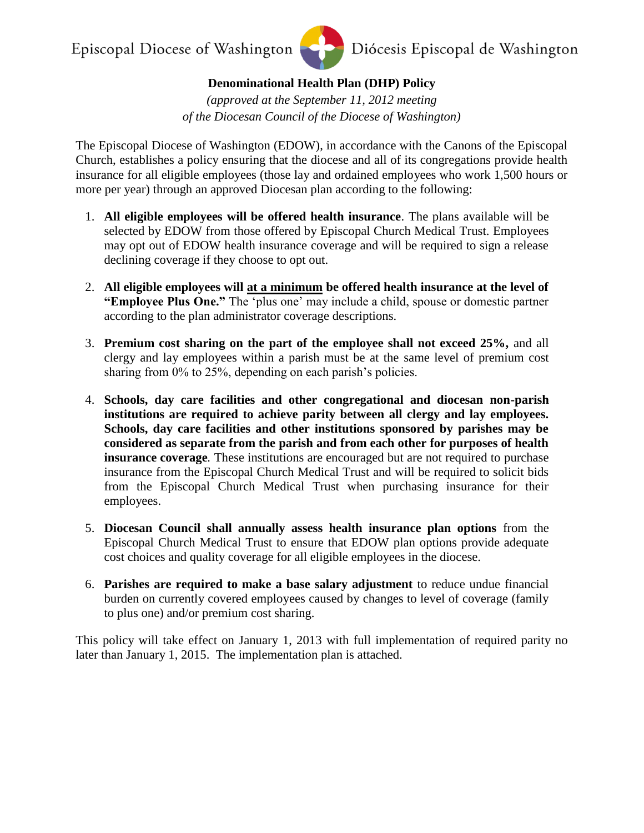Episcopal Diocese of Washington



Diócesis Episcopal de Washington

**Denominational Health Plan (DHP) Policy** 

*(approved at the September 11, 2012 meeting of the Diocesan Council of the Diocese of Washington)* 

The Episcopal Diocese of Washington (EDOW), in accordance with the Canons of the Episcopal Church, establishes a policy ensuring that the diocese and all of its congregations provide health insurance for all eligible employees (those lay and ordained employees who work 1,500 hours or more per year) through an approved Diocesan plan according to the following:

- 1. **All eligible employees will be offered health insurance**. The plans available will be selected by EDOW from those offered by Episcopal Church Medical Trust. Employees may opt out of EDOW health insurance coverage and will be required to sign a release declining coverage if they choose to opt out.
- 2. **All eligible employees will at a minimum be offered health insurance at the level of "Employee Plus One."** The 'plus one' may include a child, spouse or domestic partner according to the plan administrator coverage descriptions.
- 3. **Premium cost sharing on the part of the employee shall not exceed 25%,** and all clergy and lay employees within a parish must be at the same level of premium cost sharing from 0% to 25%, depending on each parish's policies.
- 4. **Schools, day care facilities and other congregational and diocesan non-parish institutions are required to achieve parity between all clergy and lay employees. Schools, day care facilities and other institutions sponsored by parishes may be considered as separate from the parish and from each other for purposes of health insurance coverage***.* These institutions are encouraged but are not required to purchase insurance from the Episcopal Church Medical Trust and will be required to solicit bids from the Episcopal Church Medical Trust when purchasing insurance for their employees.
- 5. **Diocesan Council shall annually assess health insurance plan options** from the Episcopal Church Medical Trust to ensure that EDOW plan options provide adequate cost choices and quality coverage for all eligible employees in the diocese.
- 6. **Parishes are required to make a base salary adjustment** to reduce undue financial burden on currently covered employees caused by changes to level of coverage (family to plus one) and/or premium cost sharing.

This policy will take effect on January 1, 2013 with full implementation of required parity no later than January 1, 2015. The implementation plan is attached.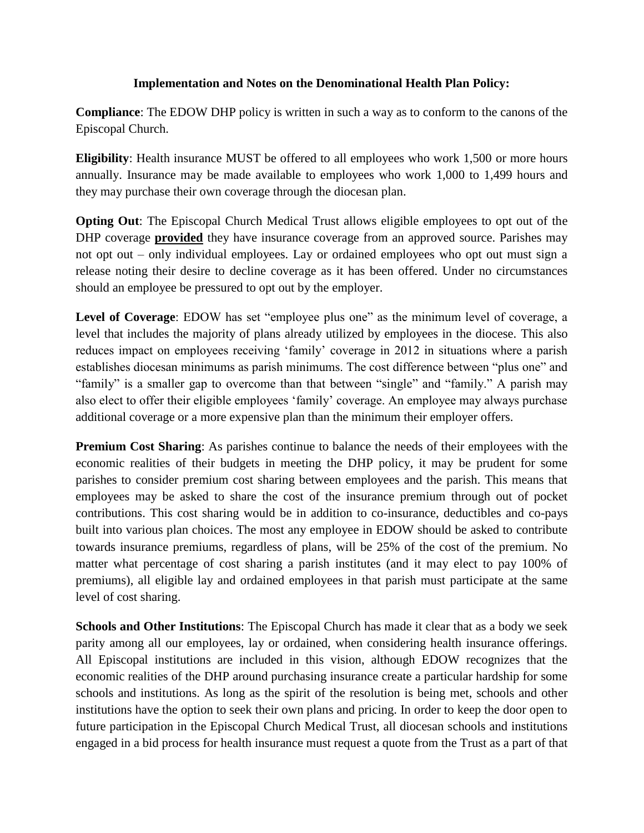## **Implementation and Notes on the Denominational Health Plan Policy:**

**Compliance**: The EDOW DHP policy is written in such a way as to conform to the canons of the Episcopal Church.

**Eligibility**: Health insurance MUST be offered to all employees who work 1,500 or more hours annually. Insurance may be made available to employees who work 1,000 to 1,499 hours and they may purchase their own coverage through the diocesan plan.

**Opting Out**: The Episcopal Church Medical Trust allows eligible employees to opt out of the DHP coverage **provided** they have insurance coverage from an approved source. Parishes may not opt out – only individual employees. Lay or ordained employees who opt out must sign a release noting their desire to decline coverage as it has been offered. Under no circumstances should an employee be pressured to opt out by the employer.

**Level of Coverage**: EDOW has set "employee plus one" as the minimum level of coverage, a level that includes the majority of plans already utilized by employees in the diocese. This also reduces impact on employees receiving 'family' coverage in 2012 in situations where a parish establishes diocesan minimums as parish minimums. The cost difference between "plus one" and "family" is a smaller gap to overcome than that between "single" and "family." A parish may also elect to offer their eligible employees 'family' coverage. An employee may always purchase additional coverage or a more expensive plan than the minimum their employer offers.

**Premium Cost Sharing**: As parishes continue to balance the needs of their employees with the economic realities of their budgets in meeting the DHP policy, it may be prudent for some parishes to consider premium cost sharing between employees and the parish. This means that employees may be asked to share the cost of the insurance premium through out of pocket contributions. This cost sharing would be in addition to co-insurance, deductibles and co-pays built into various plan choices. The most any employee in EDOW should be asked to contribute towards insurance premiums, regardless of plans, will be 25% of the cost of the premium. No matter what percentage of cost sharing a parish institutes (and it may elect to pay 100% of premiums), all eligible lay and ordained employees in that parish must participate at the same level of cost sharing.

**Schools and Other Institutions**: The Episcopal Church has made it clear that as a body we seek parity among all our employees, lay or ordained, when considering health insurance offerings. All Episcopal institutions are included in this vision, although EDOW recognizes that the economic realities of the DHP around purchasing insurance create a particular hardship for some schools and institutions. As long as the spirit of the resolution is being met, schools and other institutions have the option to seek their own plans and pricing. In order to keep the door open to future participation in the Episcopal Church Medical Trust, all diocesan schools and institutions engaged in a bid process for health insurance must request a quote from the Trust as a part of that